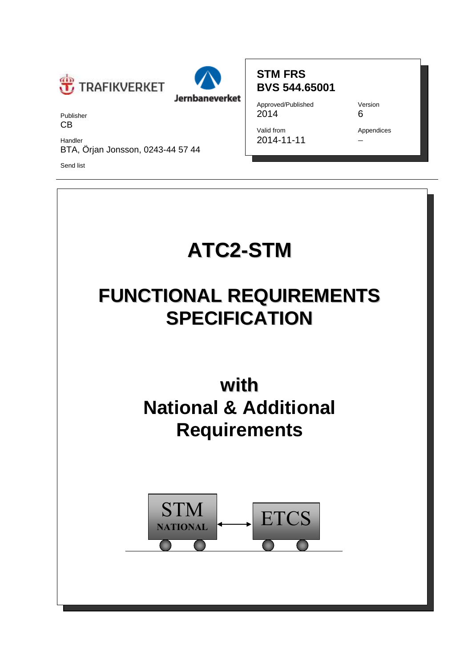



# **STM FRS BVS 544.65001**

Publisher CB

Handler BTA, Örjan Jonsson, 0243-44 57 44

Send list

Approved/Published Version

Valid from Appendices

2014-11-11

2014 6

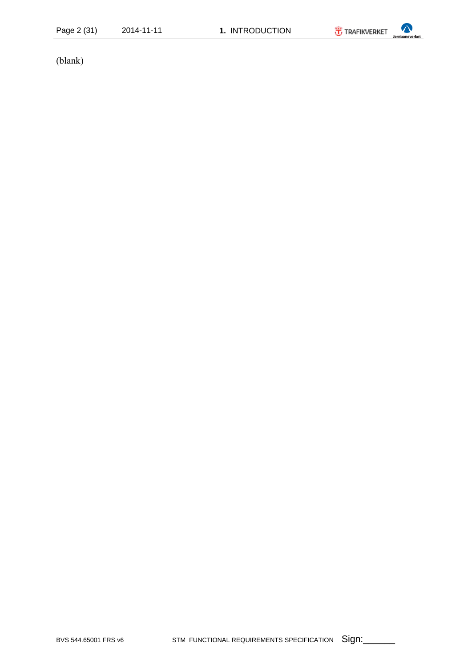$\sqrt{}$ 

(blank)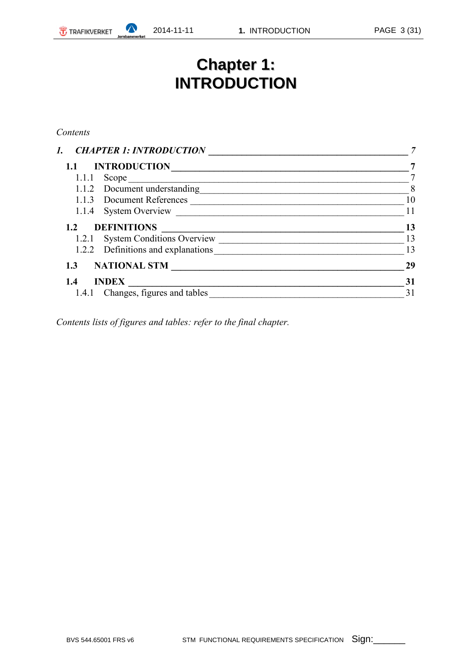$\sqrt{}$ 

# **Chapter 1: INTRODUCTION**

#### *Contents*

| <b>CHAPTER 1: INTRODUCTION</b>             |    |
|--------------------------------------------|----|
| <b>INTRODUCTION</b>                        |    |
| Scope<br>1.1.1                             |    |
| 1.1.2 Document understanding               | 8  |
| 1.1.3 Document References                  | 10 |
| 1.1.4 System Overview                      | 11 |
| <b>DEFINITIONS</b><br>$1.2^{\circ}$        | 13 |
| <b>System Conditions Overview</b><br>1.2.1 | 13 |
| 1.2.2 Definitions and explanations         | 13 |
| <b>NATIONAL STM</b><br>1.3                 | 29 |
| <b>INDEX</b><br>1.4                        | 31 |
| 1.4.1 Changes, figures and tables          | 31 |

*Contents lists of figures and tables: refer to the final chapter.*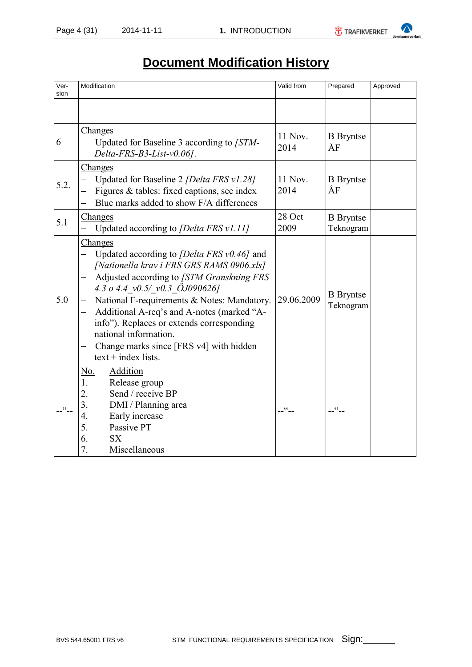# **Document Modification History**

| Ver-<br>sion | Modification                                                                                                                                                                                                                                                                                                                                                                                                                     | Valid from      | Prepared                      | Approved |
|--------------|----------------------------------------------------------------------------------------------------------------------------------------------------------------------------------------------------------------------------------------------------------------------------------------------------------------------------------------------------------------------------------------------------------------------------------|-----------------|-------------------------------|----------|
|              |                                                                                                                                                                                                                                                                                                                                                                                                                                  |                 |                               |          |
| 6            | <b>Changes</b><br>Updated for Baseline 3 according to <i>[STM-</i><br>Delta-FRS-B3-List-v0.06].                                                                                                                                                                                                                                                                                                                                  | 11 Nov.<br>2014 | <b>B</b> Bryntse<br>ÅF        |          |
| 5.2.         | Changes<br>Updated for Baseline 2 <i>[Delta FRS v1.28]</i><br>Figures $&$ tables: fixed captions, see index<br>Blue marks added to show F/A differences                                                                                                                                                                                                                                                                          | 11 Nov.<br>2014 | <b>B</b> Bryntse<br>ÅF        |          |
| 5.1          | <b>Changes</b><br>Updated according to <i>[Delta FRS v1.11]</i>                                                                                                                                                                                                                                                                                                                                                                  | 28 Oct<br>2009  | <b>B</b> Bryntse<br>Teknogram |          |
| 5.0          | Changes<br>Updated according to <i>[Delta FRS v0.46]</i> and<br>[Nationella krav i FRS GRS RAMS 0906.xls]<br>Adjusted according to [STM Granskning FRS<br>4.3 o 4.4 $v0.5/v0.3$ OJ090626]<br>National F-requirements & Notes: Mandatory.<br>Additional A-req's and A-notes (marked "A-<br>info"). Replaces or extends corresponding<br>national information.<br>Change marks since [FRS v4] with hidden<br>$text + index lists.$ | 29.06.2009      | <b>B</b> Bryntse<br>Teknogram |          |
|              | <b>Addition</b><br>No.<br>Release group<br>1.<br>Send / receive BP<br>2.<br>3.<br>DMI / Planning area<br>Early increase<br>4.<br>5.<br>Passive PT<br><b>SX</b><br>6.<br>7.<br>Miscellaneous                                                                                                                                                                                                                                      | CC              | $\epsilon$                    |          |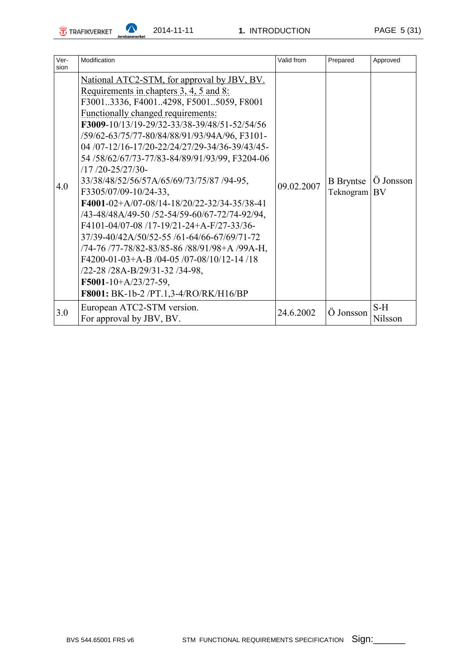

 $\sqrt{}$ 

| Ver-<br>sion | Modification                                                                                                                                                                                                                                                                                                                                                                                                                                                                                                                                                                                                                                                                                                                                                                                                                                                                                     | Valid from | Prepared                         | Approved         |
|--------------|--------------------------------------------------------------------------------------------------------------------------------------------------------------------------------------------------------------------------------------------------------------------------------------------------------------------------------------------------------------------------------------------------------------------------------------------------------------------------------------------------------------------------------------------------------------------------------------------------------------------------------------------------------------------------------------------------------------------------------------------------------------------------------------------------------------------------------------------------------------------------------------------------|------------|----------------------------------|------------------|
| 4.0          | National ATC2-STM, for approval by JBV, BV.<br>Requirements in chapters 3, 4, 5 and 8:<br>F30013336, F40014298, F50015059, F8001<br>Functionally changed requirements:<br>F3009-10/13/19-29/32-33/38-39/48/51-52/54/56<br>/59/62-63/75/77-80/84/88/91/93/94A/96, F3101-<br>04/07-12/16-17/20-22/24/27/29-34/36-39/43/45-<br>54 / 58 / 62 / 67 / 73 - 77 / 83 - 84 / 89 / 91 / 93 / 99, F 3 204 - 06<br>$/17/20 - 25/27/30 -$<br>33/38/48/52/56/57A/65/69/73/75/87 /94-95,<br>F3305/07/09-10/24-33,<br>F4001-02+A/07-08/14-18/20/22-32/34-35/38-41<br>/43-48/48A/49-50 /52-54/59-60/67-72/74-92/94,<br>F4101-04/07-08 /17-19/21-24+A-F/27-33/36-<br>37/39-40/42A/50/52-55 /61-64/66-67/69/71-72<br>/74-76 /77-78/82-83/85-86 /88/91/98+A /99A-H,<br>F4200-01-03+A-B /04-05 /07-08/10/12-14 /18<br>/22-28 /28A-B/29/31-32 /34-98,<br>F5001-10+A/23/27-59,<br>F8001: BK-1b-2 /PT.1,3-4/RO/RK/H16/BP | 09.02.2007 | <b>B</b> Bryntse<br>Teknogram BV | Ö Jonsson        |
| 3.0          | European ATC2-STM version.<br>For approval by JBV, BV.                                                                                                                                                                                                                                                                                                                                                                                                                                                                                                                                                                                                                                                                                                                                                                                                                                           | 24.6.2002  | Ö Jonsson                        | $S-H$<br>Nilsson |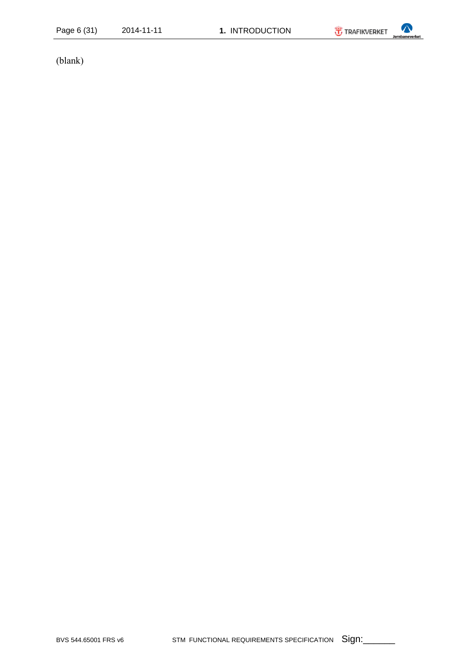V)

(blank)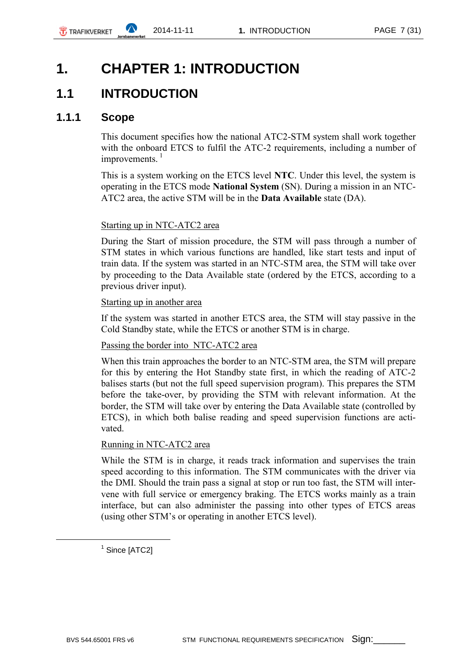# <span id="page-6-0"></span>**1. CHAPTER 1: INTRODUCTION**

# <span id="page-6-1"></span>**1.1 INTRODUCTION**

### <span id="page-6-2"></span>**1.1.1 Scope**

This document specifies how the national ATC2-STM system shall work together with the onboard ETCS to fulfil the ATC-2 requirements, including a number of improvements.<sup>1</sup>

This is a system working on the ETCS level **NTC**. Under this level, the system is operating in the ETCS mode **National System** (SN). During a mission in an NTC-ATC2 area, the active STM will be in the **Data Available** state (DA).

#### Starting up in NTC-ATC2 area

During the Start of mission procedure, the STM will pass through a number of STM states in which various functions are handled, like start tests and input of train data. If the system was started in an NTC-STM area, the STM will take over by proceeding to the Data Available state (ordered by the ETCS, according to a previous driver input).

#### Starting up in another area

If the system was started in another ETCS area, the STM will stay passive in the Cold Standby state, while the ETCS or another STM is in charge.

#### Passing the border into NTC-ATC2 area

When this train approaches the border to an NTC-STM area, the STM will prepare for this by entering the Hot Standby state first, in which the reading of ATC-2 balises starts (but not the full speed supervision program). This prepares the STM before the take-over, by providing the STM with relevant information. At the border, the STM will take over by entering the Data Available state (controlled by ETCS), in which both balise reading and speed supervision functions are activated.

#### Running in NTC-ATC2 area

While the STM is in charge, it reads track information and supervises the train speed according to this information. The STM communicates with the driver via the DMI. Should the train pass a signal at stop or run too fast, the STM will intervene with full service or emergency braking. The ETCS works mainly as a train interface, but can also administer the passing into other types of ETCS areas (using other STM's or operating in another ETCS level).

<sup>1</sup> Since [ATC2]

 $\overline{a}$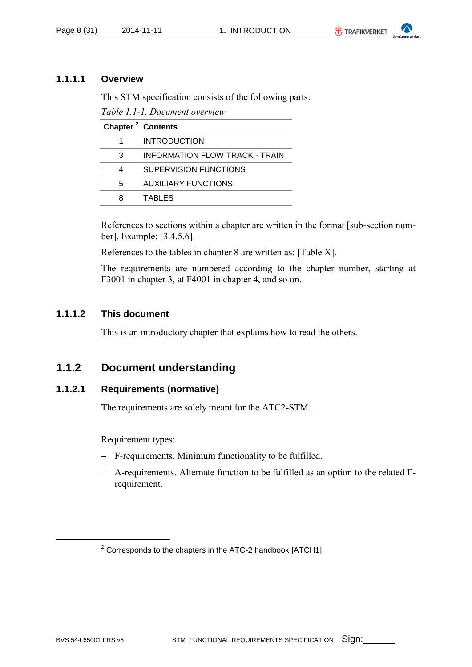#### **1.1.1.1 Overview**

This STM specification consists of the following parts:

*Table 1.1-1. Document overview*

| Chapter <sup>2</sup> Contents |                                |
|-------------------------------|--------------------------------|
|                               | <b>INTRODUCTION</b>            |
| 3                             | INFORMATION FLOW TRACK - TRAIN |
| 4                             | SUPERVISION FUNCTIONS          |
| 5                             | <b>AUXILIARY FUNCTIONS</b>     |
|                               | <b>TABLES</b>                  |

References to sections within a chapter are written in the format [sub-section number]. Example: [3.4.5.6].

References to the tables in chapter 8 are written as: [Table X].

The requirements are numbered according to the chapter number, starting at F3001 in chapter 3, at F4001 in chapter 4, and so on.

#### **1.1.1.2 This document**

This is an introductory chapter that explains how to read the others.

## <span id="page-7-0"></span>**1.1.2 Document understanding**

#### **1.1.2.1 Requirements (normative)**

The requirements are solely meant for the ATC2-STM.

Requirement types:

- F-requirements. Minimum functionality to be fulfilled.
- A-requirements. Alternate function to be fulfilled as an option to the related Frequirement.

 $\overline{a}$ 

 $2$  Corresponds to the chapters in the ATC-2 handbook [ATCH1].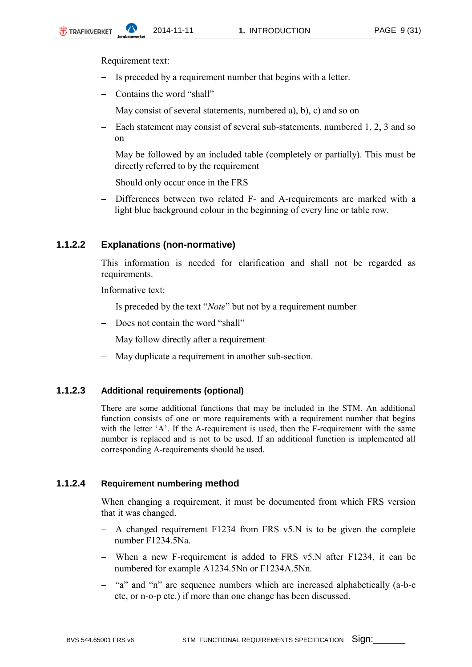Requirement text:

- Is preceded by a requirement number that begins with a letter.
- Contains the word "shall"
- May consist of several statements, numbered a), b), c) and so on
- Each statement may consist of several sub-statements, numbered 1, 2, 3 and so on
- May be followed by an included table (completely or partially). This must be directly referred to by the requirement
- Should only occur once in the FRS
- Differences between two related F- and A-requirements are marked with a light blue background colour in the beginning of every line or table row.

#### **1.1.2.2 Explanations (non-normative)**

This information is needed for clarification and shall not be regarded as requirements.

Informative text:

- Is preceded by the text "*Note*" but not by a requirement number
- Does not contain the word "shall"
- May follow directly after a requirement
- May duplicate a requirement in another sub-section.

#### **1.1.2.3 Additional requirements (optional)**

There are some additional functions that may be included in the STM. An additional function consists of one or more requirements with a requirement number that begins with the letter 'A'. If the A-requirement is used, then the F-requirement with the same number is replaced and is not to be used. If an additional function is implemented all corresponding A-requirements should be used.

#### **1.1.2.4 Requirement numbering method**

When changing a requirement, it must be documented from which FRS version that it was changed.

- A changed requirement F1234 from FRS v5.N is to be given the complete number F1234.5Na.
- When a new F-requirement is added to FRS v5.N after F1234, it can be numbered for example A1234.5Nn or F1234A.5Nn*.*
- "a" and "n" are sequence numbers which are increased alphabetically (a-b-c etc, or n-o-p etc.) if more than one change has been discussed.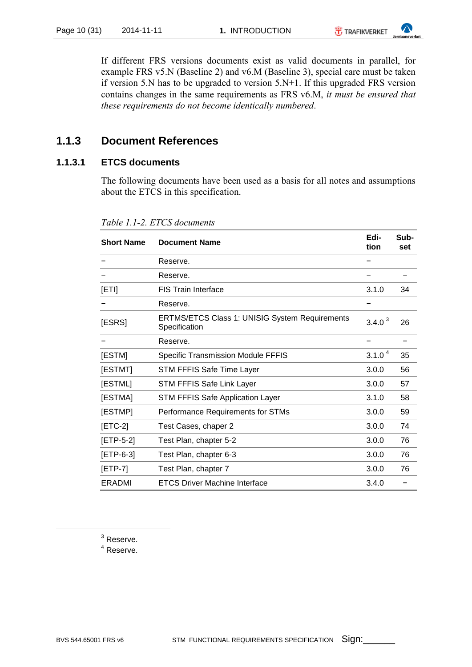If different FRS versions documents exist as valid documents in parallel, for example FRS v5.N (Baseline 2) and v6.M (Baseline 3), special care must be taken if version 5.N has to be upgraded to version 5.N+1. If this upgraded FRS version contains changes in the same requirements as FRS v6.M, *it must be ensured that these requirements do not become identically numbered*.

### <span id="page-9-0"></span>**1.1.3 Document References**

#### **1.1.3.1 ETCS documents**

The following documents have been used as a basis for all notes and assumptions about the ETCS in this specification.

| <b>Short Name</b> | <b>Document Name</b>                                                   | Edi-<br>tion       | Sub-<br>set |
|-------------------|------------------------------------------------------------------------|--------------------|-------------|
|                   | Reserve.                                                               |                    |             |
|                   | Reserve.                                                               |                    |             |
| [ET]              | <b>FIS Train Interface</b>                                             | 3.1.0              | 34          |
|                   | Reserve.                                                               |                    |             |
| [ESRS]            | <b>ERTMS/ETCS Class 1: UNISIG System Requirements</b><br>Specification | 3.4.0 <sup>3</sup> | 26          |
|                   | Reserve.                                                               |                    |             |
| [ESTM]            | Specific Transmission Module FFFIS                                     | 3.1.0 <sup>4</sup> | 35          |
| [ESTMT]           | <b>STM FFFIS Safe Time Layer</b>                                       | 3.0.0              | 56          |
| [ESTML]           | STM FFFIS Safe Link Layer                                              | 3.0.0              | 57          |
| [ESTMA]           | STM FFFIS Safe Application Layer                                       | 3.1.0              | 58          |
| [ESTMP]           | Performance Requirements for STMs                                      | 3.0.0              | 59          |
| $[ETC-2]$         | Test Cases, chaper 2                                                   | 3.0.0              | 74          |
| $[ETP-5-2]$       | Test Plan, chapter 5-2                                                 | 3.0.0              | 76          |
| $[ETP-6-3]$       | Test Plan, chapter 6-3                                                 | 3.0.0              | 76          |
| $[ETP-7]$         | Test Plan, chapter 7                                                   | 3.0.0              | 76          |
| <b>ERADMI</b>     | <b>ETCS Driver Machine Interface</b>                                   | 3.4.0              |             |

*Table 1.1-2. ETCS documents* 

 $3$  Reserve.

<sup>4</sup> Reserve.

 $\overline{a}$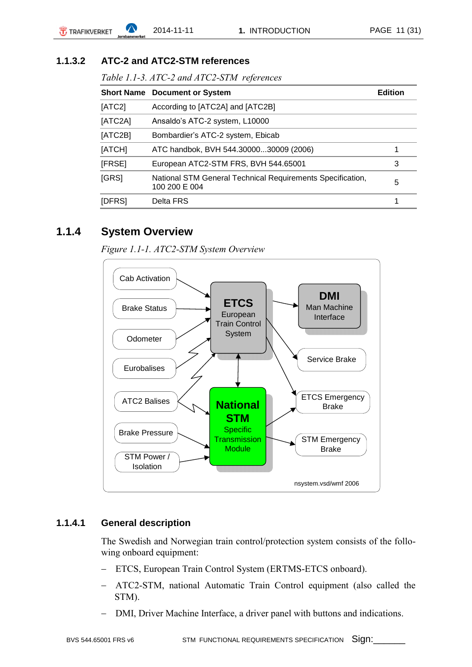### **1.1.3.2 ATC-2 and ATC2-STM references**

*Table 1.1-3. ATC-2 and ATC2-STM references*

|         | <b>Short Name</b> Document or System                                        | <b>Edition</b> |
|---------|-----------------------------------------------------------------------------|----------------|
| [ATC2]  | According to [ATC2A] and [ATC2B]                                            |                |
| [ATC2A] | Ansaldo's ATC-2 system, L10000                                              |                |
| [ATC2B] | Bombardier's ATC-2 system, Ebicab                                           |                |
| [ATCH]  | ATC handbok, BVH 544.3000030009 (2006)                                      |                |
| [FRSE]  | European ATC2-STM FRS, BVH 544.65001                                        | 3              |
| [GRS]   | National STM General Technical Requirements Specification,<br>100 200 E 004 | 5              |
| [DFRS]  | Delta FRS                                                                   |                |

### <span id="page-10-0"></span>**1.1.4 System Overview**

*Figure 1.1-1. ATC2-STM System Overview*



#### **1.1.4.1 General description**

The Swedish and Norwegian train control/protection system consists of the following onboard equipment:

- ETCS, European Train Control System (ERTMS-ETCS onboard).
- ATC2-STM, national Automatic Train Control equipment (also called the STM).
- DMI, Driver Machine Interface, a driver panel with buttons and indications.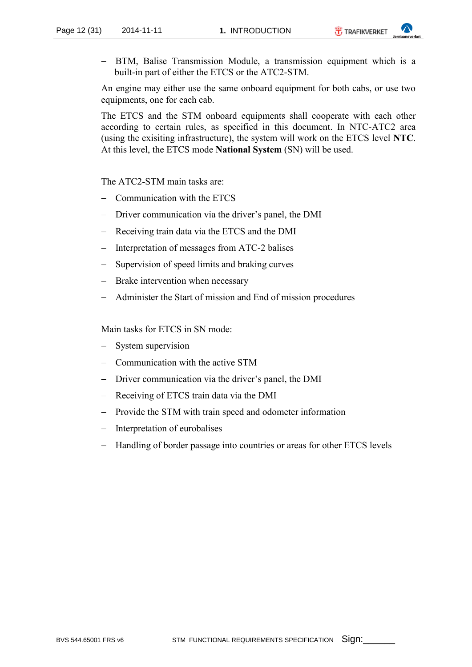- BTM, Balise Transmission Module, a transmission equipment which is a built-in part of either the ETCS or the ATC2-STM.

An engine may either use the same onboard equipment for both cabs, or use two equipments, one for each cab.

The ETCS and the STM onboard equipments shall cooperate with each other according to certain rules, as specified in this document. In NTC-ATC2 area (using the exisiting infrastructure), the system will work on the ETCS level **NTC**. At this level, the ETCS mode **National System** (SN) will be used.

The ATC2-STM main tasks are:

- Communication with the ETCS
- Driver communication via the driver's panel, the DMI
- Receiving train data via the ETCS and the DMI
- Interpretation of messages from ATC-2 balises
- Supervision of speed limits and braking curves
- Brake intervention when necessary
- Administer the Start of mission and End of mission procedures

Main tasks for ETCS in SN mode:

- System supervision
- Communication with the active STM
- Driver communication via the driver's panel, the DMI
- Receiving of ETCS train data via the DMI
- Provide the STM with train speed and odometer information
- Interpretation of eurobalises
- Handling of border passage into countries or areas for other ETCS levels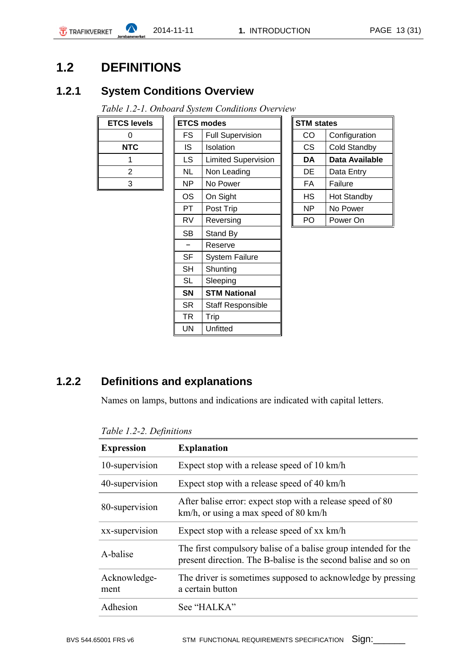### *Table 1.2-2. Definitions*

<span id="page-12-2"></span>**1.2.2 Definitions and explanations**

| <b>Expression</b>    | <b>Explanation</b>                                                                                                               |
|----------------------|----------------------------------------------------------------------------------------------------------------------------------|
| 10-supervision       | Expect stop with a release speed of 10 km/h                                                                                      |
| 40-supervision       | Expect stop with a release speed of 40 km/h                                                                                      |
| 80-supervision       | After balise error: expect stop with a release speed of 80<br>km/h, or using a max speed of 80 km/h                              |
| xx-supervision       | Expect stop with a release speed of xx km/h                                                                                      |
| A-balise             | The first compulsory balise of a balise group intended for the<br>present direction. The B-balise is the second balise and so on |
| Acknowledge-<br>ment | The driver is sometimes supposed to acknowledge by pressing<br>a certain button                                                  |
| Adhesion             | See "HALKA"                                                                                                                      |

Names on lamps, buttons and indications are indicated with capital letters.

| Table 1.2-1. Onboar |  |
|---------------------|--|
| <b>ETCS levels</b>  |  |
| ი                   |  |
| NTC                 |  |
|                     |  |
| 2                   |  |
| ٩                   |  |

| able 1.2-1. Onboard System Conditions Overview |           |                            |  |     |                    |
|------------------------------------------------|-----------|----------------------------|--|-----|--------------------|
| <b>ETCS levels</b>                             |           | <b>ETCS modes</b>          |  |     | <b>STM states</b>  |
| 0                                              | FS        | <b>Full Supervision</b>    |  | CO  | Configuration      |
| <b>NTC</b>                                     | IS.       | Isolation                  |  | CS. | Cold Standby       |
| 1                                              | <b>LS</b> | <b>Limited Supervision</b> |  | DA  | Data Available     |
| $\overline{2}$                                 | NL        | Non Leading                |  | DE  | Data Entry         |
| 3                                              | NP.       | No Power                   |  | FA  | Failure            |
|                                                | <b>OS</b> | On Sight                   |  | HS  | <b>Hot Standby</b> |
|                                                | PT        | Post Trip                  |  | NP. | No Power           |
|                                                | RV        | Reversing                  |  | PO  | Power On           |
|                                                | <b>SB</b> | Stand By                   |  |     |                    |
|                                                |           | Reserve                    |  |     |                    |
|                                                | <b>SF</b> | <b>System Failure</b>      |  |     |                    |
|                                                | <b>SH</b> | Shunting                   |  |     |                    |
|                                                | <b>SL</b> | Sleeping                   |  |     |                    |
|                                                | SN        | <b>STM National</b>        |  |     |                    |
|                                                | <b>SR</b> | <b>Staff Responsible</b>   |  |     |                    |
|                                                | TR        | Trip                       |  |     |                    |
|                                                | UN        | Unfitted                   |  |     |                    |

| <b>STM</b> states |                     |  |
|-------------------|---------------------|--|
| CO                | Configuration       |  |
| СS                | <b>Cold Standby</b> |  |
| DA                | Data Available      |  |
| DE                | Data Entry          |  |
| FА                | Failure             |  |
| HS                | Hot Standby         |  |
| ΝP                | No Power            |  |
|                   | Power On            |  |

# <span id="page-12-0"></span>**1.2 DEFINITIONS**

<span id="page-12-1"></span>**1.2.1 System Conditions Overview** *Table 1.2-1. Onboard System Conditions Overview*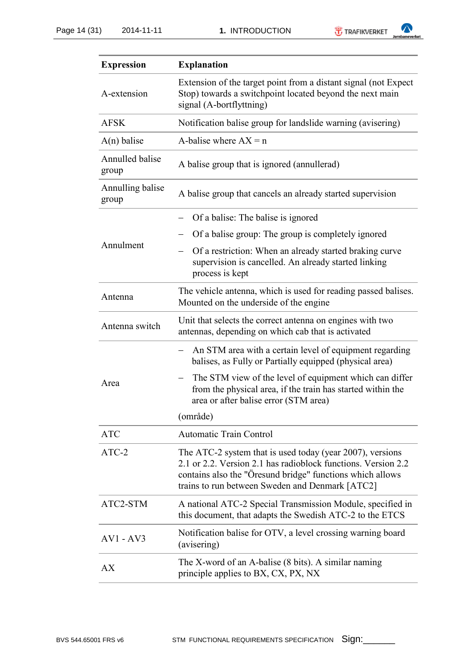| <b>Expression</b>         | <b>Explanation</b>                                                                                                                                                                                                                         |
|---------------------------|--------------------------------------------------------------------------------------------------------------------------------------------------------------------------------------------------------------------------------------------|
| A-extension               | Extension of the target point from a distant signal (not Expect)<br>Stop) towards a switchpoint located beyond the next main<br>signal (A-bortflyttning)                                                                                   |
| <b>AFSK</b>               | Notification balise group for landslide warning (avisering)                                                                                                                                                                                |
| $A(n)$ balise             | A-balise where $AX = n$                                                                                                                                                                                                                    |
| Annulled balise<br>group  | A balise group that is ignored (annullerad)                                                                                                                                                                                                |
| Annulling balise<br>group | A balise group that cancels an already started supervision                                                                                                                                                                                 |
|                           | Of a balise: The balise is ignored                                                                                                                                                                                                         |
|                           | Of a balise group: The group is completely ignored                                                                                                                                                                                         |
| Annulment                 | Of a restriction: When an already started braking curve<br>supervision is cancelled. An already started linking<br>process is kept                                                                                                         |
| Antenna                   | The vehicle antenna, which is used for reading passed balises.<br>Mounted on the underside of the engine                                                                                                                                   |
| Antenna switch            | Unit that selects the correct antenna on engines with two<br>antennas, depending on which cab that is activated                                                                                                                            |
|                           | An STM area with a certain level of equipment regarding<br>balises, as Fully or Partially equipped (physical area)                                                                                                                         |
| Area                      | The STM view of the level of equipment which can differ<br>from the physical area, if the train has started within the<br>area or after balise error (STM area)                                                                            |
|                           | (område)                                                                                                                                                                                                                                   |
| <b>ATC</b>                | Automatic Train Control                                                                                                                                                                                                                    |
| $ATC-2$                   | The ATC-2 system that is used today (year 2007), versions<br>2.1 or 2.2. Version 2.1 has radioblock functions. Version 2.2<br>contains also the "Oresund bridge" functions which allows<br>trains to run between Sweden and Denmark [ATC2] |
| ATC2-STM                  | A national ATC-2 Special Transmission Module, specified in<br>this document, that adapts the Swedish ATC-2 to the ETCS                                                                                                                     |
| $AV1 - AV3$               | Notification balise for OTV, a level crossing warning board<br>(avisering)                                                                                                                                                                 |
| AX                        | The X-word of an A-balise (8 bits). A similar naming<br>principle applies to BX, CX, PX, NX                                                                                                                                                |
|                           |                                                                                                                                                                                                                                            |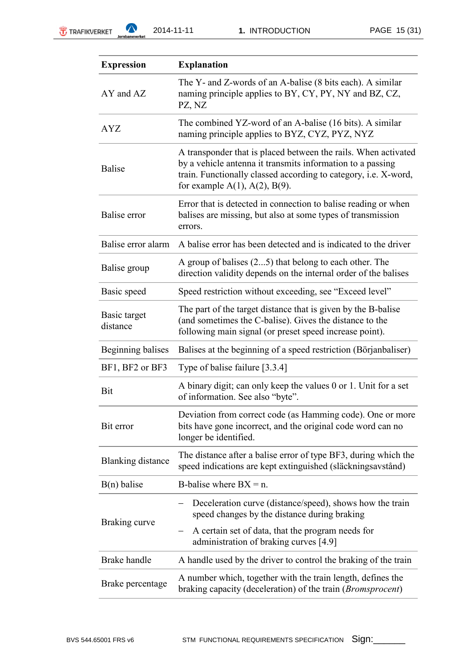**TRAFIKVERKET** 

 $\sqrt{}$ 

| <b>Expression</b>        | <b>Explanation</b>                                                                                                                                                                                                                               |
|--------------------------|--------------------------------------------------------------------------------------------------------------------------------------------------------------------------------------------------------------------------------------------------|
| AY and AZ                | The Y- and Z-words of an A-balise (8 bits each). A similar<br>naming principle applies to BY, CY, PY, NY and BZ, CZ,<br>PZ, NZ                                                                                                                   |
| <b>AYZ</b>               | The combined YZ-word of an A-balise (16 bits). A similar<br>naming principle applies to BYZ, CYZ, PYZ, NYZ                                                                                                                                       |
| <b>Balise</b>            | A transponder that is placed between the rails. When activated<br>by a vehicle antenna it transmits information to a passing<br>train. Functionally classed according to category, <i>i.e.</i> X-word,<br>for example $A(1)$ , $A(2)$ , $B(9)$ . |
| Balise error             | Error that is detected in connection to balise reading or when<br>balises are missing, but also at some types of transmission<br>errors.                                                                                                         |
| Balise error alarm       | A balise error has been detected and is indicated to the driver                                                                                                                                                                                  |
| Balise group             | A group of balises $(25)$ that belong to each other. The<br>direction validity depends on the internal order of the balises                                                                                                                      |
| Basic speed              | Speed restriction without exceeding, see "Exceed level"                                                                                                                                                                                          |
| Basic target<br>distance | The part of the target distance that is given by the B-balise<br>(and sometimes the C-balise). Gives the distance to the<br>following main signal (or preset speed increase point).                                                              |
| Beginning balises        | Balises at the beginning of a speed restriction (Börjanbaliser)                                                                                                                                                                                  |
| BF1, BF2 or BF3          | Type of balise failure [3.3.4]                                                                                                                                                                                                                   |
| Bit                      | A binary digit; can only keep the values 0 or 1. Unit for a set<br>of information. See also "byte".                                                                                                                                              |
| Bit error                | Deviation from correct code (as Hamming code). One or more<br>bits have gone incorrect, and the original code word can no<br>longer be identified.                                                                                               |
| <b>Blanking distance</b> | The distance after a balise error of type BF3, during which the<br>speed indications are kept extinguished (släckningsavstånd)                                                                                                                   |
| $B(n)$ balise            | B-balise where $BX = n$ .                                                                                                                                                                                                                        |
|                          | Deceleration curve (distance/speed), shows how the train<br>speed changes by the distance during braking                                                                                                                                         |
| Braking curve            | A certain set of data, that the program needs for<br>administration of braking curves [4.9]                                                                                                                                                      |
| Brake handle             | A handle used by the driver to control the braking of the train                                                                                                                                                                                  |
| Brake percentage         | A number which, together with the train length, defines the<br>braking capacity (deceleration) of the train ( <i>Bromsprocent</i> )                                                                                                              |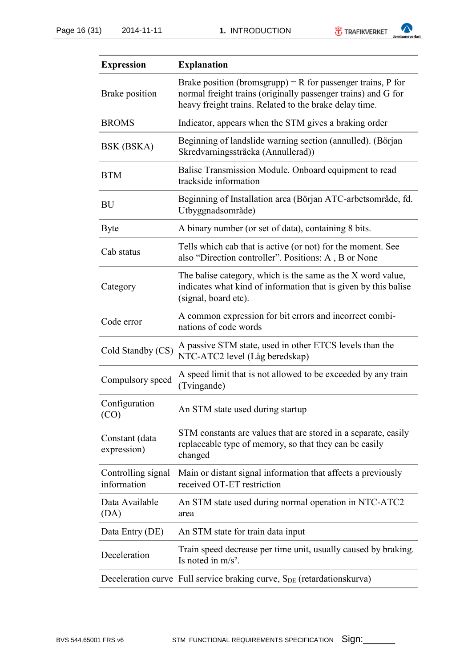**TRAFIKVERKET** 

| <b>Expression</b>                 | <b>Explanation</b>                                                                                                                                                                     |
|-----------------------------------|----------------------------------------------------------------------------------------------------------------------------------------------------------------------------------------|
| <b>Brake</b> position             | Brake position (bromsgrupp) = R for passenger trains, P for<br>normal freight trains (originally passenger trains) and G for<br>heavy freight trains. Related to the brake delay time. |
| <b>BROMS</b>                      | Indicator, appears when the STM gives a braking order                                                                                                                                  |
| <b>BSK (BSKA)</b>                 | Beginning of landslide warning section (annulled). (Början<br>Skredvarningssträcka (Annullerad))                                                                                       |
| <b>BTM</b>                        | Balise Transmission Module. Onboard equipment to read<br>trackside information                                                                                                         |
| <b>BU</b>                         | Beginning of Installation area (Början ATC-arbetsområde, fd.<br>Utbyggnadsområde)                                                                                                      |
| <b>Byte</b>                       | A binary number (or set of data), containing 8 bits.                                                                                                                                   |
| Cab status                        | Tells which cab that is active (or not) for the moment. See<br>also "Direction controller". Positions: A, B or None                                                                    |
| Category                          | The balise category, which is the same as the X word value,<br>indicates what kind of information that is given by this balise<br>(signal, board etc).                                 |
| Code error                        | A common expression for bit errors and incorrect combi-<br>nations of code words                                                                                                       |
| Cold Standby (CS)                 | A passive STM state, used in other ETCS levels than the<br>NTC-ATC2 level (Låg beredskap)                                                                                              |
| Compulsory speed                  | A speed limit that is not allowed to be exceeded by any train<br>(Tvingande)                                                                                                           |
| Configuration<br>(CO)             | An STM state used during startup                                                                                                                                                       |
| Constant (data<br>expression)     | STM constants are values that are stored in a separate, easily<br>replaceable type of memory, so that they can be easily<br>changed                                                    |
| Controlling signal<br>information | Main or distant signal information that affects a previously<br>received OT-ET restriction                                                                                             |
| Data Available<br>(DA)            | An STM state used during normal operation in NTC-ATC2<br>area                                                                                                                          |
| Data Entry (DE)                   | An STM state for train data input                                                                                                                                                      |
| Deceleration                      | Train speed decrease per time unit, usually caused by braking.<br>Is noted in $m/s^2$ .                                                                                                |
|                                   | Deceleration curve Full service braking curve, S <sub>DE</sub> (retardationskurva)                                                                                                     |
|                                   |                                                                                                                                                                                        |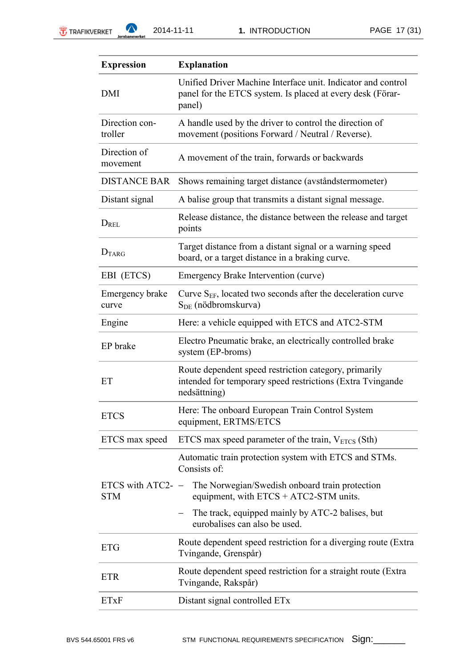$\sqrt{}$ ernbanever

| <b>Expression</b>                 | <b>Explanation</b>                                                                                                                   |
|-----------------------------------|--------------------------------------------------------------------------------------------------------------------------------------|
| <b>DMI</b>                        | Unified Driver Machine Interface unit. Indicator and control<br>panel for the ETCS system. Is placed at every desk (Förar-<br>panel) |
| Direction con-<br>troller         | A handle used by the driver to control the direction of<br>movement (positions Forward / Neutral / Reverse).                         |
| Direction of<br>movement          | A movement of the train, forwards or backwards                                                                                       |
| <b>DISTANCE BAR</b>               | Shows remaining target distance (avståndstermometer)                                                                                 |
| Distant signal                    | A balise group that transmits a distant signal message.                                                                              |
| $D_{REL}$                         | Release distance, the distance between the release and target<br>points                                                              |
| $D_{TARG}$                        | Target distance from a distant signal or a warning speed<br>board, or a target distance in a braking curve.                          |
| EBI (ETCS)                        | Emergency Brake Intervention (curve)                                                                                                 |
| Emergency brake<br>curve          | Curve $S_{EF}$ , located two seconds after the deceleration curve<br>$S_{DE}$ (nödbromskurva)                                        |
| Engine                            | Here: a vehicle equipped with ETCS and ATC2-STM                                                                                      |
| EP brake                          | Electro Pneumatic brake, an electrically controlled brake<br>system (EP-broms)                                                       |
| ET                                | Route dependent speed restriction category, primarily<br>intended for temporary speed restrictions (Extra Tvingande<br>nedsättning)  |
| <b>ETCS</b>                       | Here: The onboard European Train Control System<br>equipment, ERTMS/ETCS                                                             |
| ETCS max speed                    | ETCS max speed parameter of the train, $V_{ETCS}$ (Sth)                                                                              |
|                                   | Automatic train protection system with ETCS and STMs.<br>Consists of:                                                                |
| ETCS with ATC2- $-$<br><b>STM</b> | The Norwegian/Swedish onboard train protection<br>equipment, with $ETCS + ATC2-STM$ units.                                           |
|                                   | The track, equipped mainly by ATC-2 balises, but<br>eurobalises can also be used.                                                    |
| <b>ETG</b>                        | Route dependent speed restriction for a diverging route (Extra<br>Tvingande, Grenspår)                                               |
| <b>ETR</b>                        | Route dependent speed restriction for a straight route (Extra<br>Tvingande, Rakspår)                                                 |
| <b>ETxF</b>                       | Distant signal controlled ETx                                                                                                        |
|                                   |                                                                                                                                      |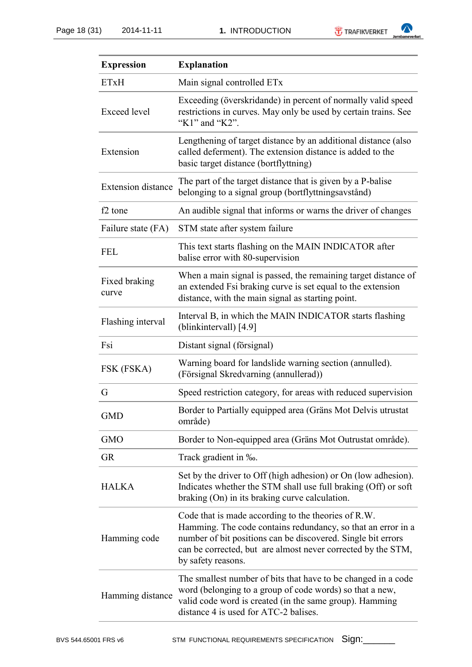| <b>Expression</b>         | <b>Explanation</b>                                                                                                                                                                                                                                                        |
|---------------------------|---------------------------------------------------------------------------------------------------------------------------------------------------------------------------------------------------------------------------------------------------------------------------|
| <b>ETxH</b>               | Main signal controlled ETx                                                                                                                                                                                                                                                |
| <b>Exceed level</b>       | Exceeding (överskridande) in percent of normally valid speed<br>restrictions in curves. May only be used by certain trains. See<br>"K1" and "K2".                                                                                                                         |
| Extension                 | Lengthening of target distance by an additional distance (also<br>called deferment). The extension distance is added to the<br>basic target distance (bortflyttning)                                                                                                      |
| <b>Extension</b> distance | The part of the target distance that is given by a P-balise<br>belonging to a signal group (bortflyttningsavstånd)                                                                                                                                                        |
| f <sub>2</sub> tone       | An audible signal that informs or warns the driver of changes                                                                                                                                                                                                             |
| Failure state (FA)        | STM state after system failure                                                                                                                                                                                                                                            |
| <b>FEL</b>                | This text starts flashing on the MAIN INDICATOR after<br>balise error with 80-supervision                                                                                                                                                                                 |
| Fixed braking<br>curve    | When a main signal is passed, the remaining target distance of<br>an extended Fsi braking curve is set equal to the extension<br>distance, with the main signal as starting point.                                                                                        |
| Flashing interval         | Interval B, in which the MAIN INDICATOR starts flashing<br>(blinkintervall) [4.9]                                                                                                                                                                                         |
| Fsi                       | Distant signal (försignal)                                                                                                                                                                                                                                                |
| FSK (FSKA)                | Warning board for landslide warning section (annulled).<br>(Försignal Skredvarning (annullerad))                                                                                                                                                                          |
| G                         | Speed restriction category, for areas with reduced supervision                                                                                                                                                                                                            |
| <b>GMD</b>                | Border to Partially equipped area (Gräns Mot Delvis utrustat<br>område)                                                                                                                                                                                                   |
| <b>GMO</b>                | Border to Non-equipped area (Gräns Mot Outrustat område).                                                                                                                                                                                                                 |
| <b>GR</b>                 | Track gradient in ‰.                                                                                                                                                                                                                                                      |
| <b>HALKA</b>              | Set by the driver to Off (high adhesion) or On (low adhesion).<br>Indicates whether the STM shall use full braking (Off) or soft<br>braking (On) in its braking curve calculation.                                                                                        |
| Hamming code              | Code that is made according to the theories of R.W.<br>Hamming. The code contains redundancy, so that an error in a<br>number of bit positions can be discovered. Single bit errors<br>can be corrected, but are almost never corrected by the STM,<br>by safety reasons. |
| Hamming distance          | The smallest number of bits that have to be changed in a code<br>word (belonging to a group of code words) so that a new,<br>valid code word is created (in the same group). Hamming<br>distance 4 is used for ATC-2 balises.                                             |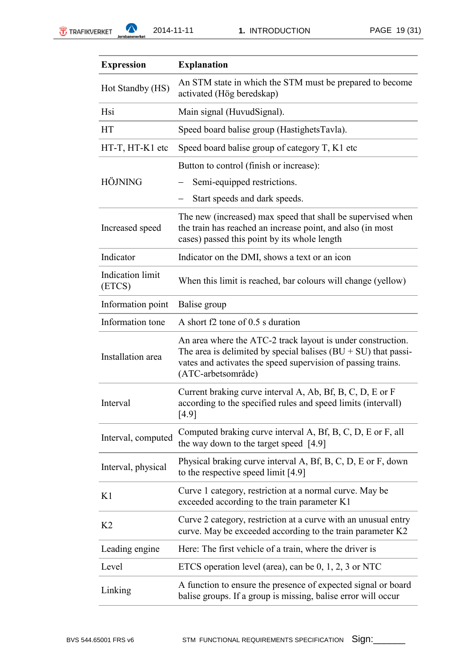$\sqrt{}$ 

| <b>Expression</b>          | <b>Explanation</b>                                                                                                                                                                                                    |
|----------------------------|-----------------------------------------------------------------------------------------------------------------------------------------------------------------------------------------------------------------------|
| Hot Standby (HS)           | An STM state in which the STM must be prepared to become<br>activated (Hög beredskap)                                                                                                                                 |
| Hsi                        | Main signal (HuvudSignal).                                                                                                                                                                                            |
| <b>HT</b>                  | Speed board balise group (HastighetsTavla).                                                                                                                                                                           |
| HT-T, HT-K1 etc            | Speed board balise group of category T, K1 etc                                                                                                                                                                        |
|                            | Button to control (finish or increase):                                                                                                                                                                               |
| HÖJNING                    | Semi-equipped restrictions.                                                                                                                                                                                           |
|                            | Start speeds and dark speeds.                                                                                                                                                                                         |
| Increased speed            | The new (increased) max speed that shall be supervised when<br>the train has reached an increase point, and also (in most<br>cases) passed this point by its whole length                                             |
| Indicator                  | Indicator on the DMI, shows a text or an icon                                                                                                                                                                         |
| Indication limit<br>(ETCS) | When this limit is reached, bar colours will change (yellow)                                                                                                                                                          |
| Information point          | Balise group                                                                                                                                                                                                          |
| Information tone           | A short f2 tone of 0.5 s duration                                                                                                                                                                                     |
| Installation area          | An area where the ATC-2 track layout is under construction.<br>The area is delimited by special balises $(BU + SU)$ that passi-<br>vates and activates the speed supervision of passing trains.<br>(ATC-arbetsområde) |
| Interval                   | Current braking curve interval A, Ab, Bf, B, C, D, E or F<br>according to the specified rules and speed limits (intervall)<br>[4.9]                                                                                   |
| Interval, computed         | Computed braking curve interval A, Bf, B, C, D, E or F, all<br>the way down to the target speed [4.9]                                                                                                                 |
| Interval, physical         | Physical braking curve interval A, Bf, B, C, D, E or F, down<br>to the respective speed limit [4.9]                                                                                                                   |
| K1                         | Curve 1 category, restriction at a normal curve. May be<br>exceeded according to the train parameter K1                                                                                                               |
| K <sub>2</sub>             | Curve 2 category, restriction at a curve with an unusual entry<br>curve. May be exceeded according to the train parameter K2                                                                                          |
| Leading engine             | Here: The first vehicle of a train, where the driver is                                                                                                                                                               |
| Level                      | ETCS operation level (area), can be $0, 1, 2, 3$ or NTC                                                                                                                                                               |
| Linking                    | A function to ensure the presence of expected signal or board<br>balise groups. If a group is missing, balise error will occur                                                                                        |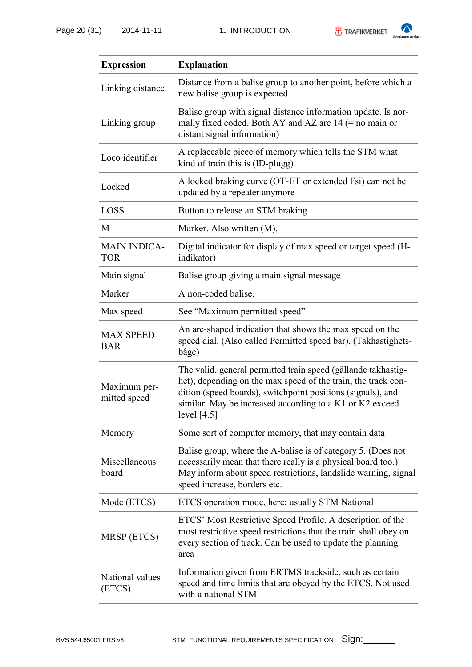| Distance from a balise group to another point, before which a<br>new balise group is expected                                                                                                                                                                            |
|--------------------------------------------------------------------------------------------------------------------------------------------------------------------------------------------------------------------------------------------------------------------------|
| Balise group with signal distance information update. Is nor-<br>mally fixed coded. Both AY and AZ are $14$ (= no main or<br>distant signal information)                                                                                                                 |
| A replaceable piece of memory which tells the STM what<br>kind of train this is (ID-plugg)                                                                                                                                                                               |
| A locked braking curve (OT-ET or extended Fsi) can not be<br>updated by a repeater anymore                                                                                                                                                                               |
| Button to release an STM braking                                                                                                                                                                                                                                         |
| Marker. Also written (M).                                                                                                                                                                                                                                                |
| Digital indicator for display of max speed or target speed (H-<br>indikator)                                                                                                                                                                                             |
| Balise group giving a main signal message                                                                                                                                                                                                                                |
| A non-coded balise.                                                                                                                                                                                                                                                      |
| See "Maximum permitted speed"                                                                                                                                                                                                                                            |
| An arc-shaped indication that shows the max speed on the<br>speed dial. (Also called Permitted speed bar), (Takhastighets-<br>båge)                                                                                                                                      |
| The valid, general permitted train speed (gällande takhastig-<br>het), depending on the max speed of the train, the track con-<br>dition (speed boards), switchpoint positions (signals), and<br>similar. May be increased according to a K1 or K2 exceed<br>level [4.5] |
| Some sort of computer memory, that may contain data                                                                                                                                                                                                                      |
| Balise group, where the A-balise is of category 5. (Does not<br>necessarily mean that there really is a physical board too.)<br>May inform about speed restrictions, landslide warning, signal<br>speed increase, borders etc.                                           |
| ETCS operation mode, here: usually STM National                                                                                                                                                                                                                          |
| ETCS' Most Restrictive Speed Profile. A description of the<br>most restrictive speed restrictions that the train shall obey on<br>every section of track. Can be used to update the planning<br>area                                                                     |
| Information given from ERTMS trackside, such as certain<br>speed and time limits that are obeyed by the ETCS. Not used<br>with a national STM                                                                                                                            |
|                                                                                                                                                                                                                                                                          |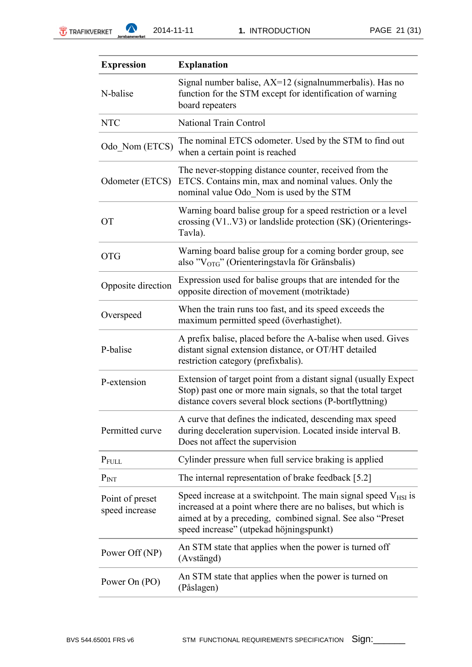$\sqrt{}$ 

| <b>Expression</b>                 | <b>Explanation</b>                                                                                                                                                                                                                             |
|-----------------------------------|------------------------------------------------------------------------------------------------------------------------------------------------------------------------------------------------------------------------------------------------|
| N-balise                          | Signal number balise, AX=12 (signalnummerbalis). Has no<br>function for the STM except for identification of warning<br>board repeaters                                                                                                        |
| <b>NTC</b>                        | National Train Control                                                                                                                                                                                                                         |
| Odo Nom (ETCS)                    | The nominal ETCS odometer. Used by the STM to find out<br>when a certain point is reached                                                                                                                                                      |
| Odometer (ETCS)                   | The never-stopping distance counter, received from the<br>ETCS. Contains min, max and nominal values. Only the<br>nominal value Odo_Nom is used by the STM                                                                                     |
| <b>OT</b>                         | Warning board balise group for a speed restriction or a level<br>crossing (V1V3) or landslide protection (SK) (Orienterings-<br>Tavla).                                                                                                        |
| <b>OTG</b>                        | Warning board balise group for a coming border group, see<br>also " $V_{\text{OTG}}$ " (Orienteringstavla för Gränsbalis)                                                                                                                      |
| Opposite direction                | Expression used for balise groups that are intended for the<br>opposite direction of movement (motriktade)                                                                                                                                     |
| Overspeed                         | When the train runs too fast, and its speed exceeds the<br>maximum permitted speed (överhastighet).                                                                                                                                            |
| P-balise                          | A prefix balise, placed before the A-balise when used. Gives<br>distant signal extension distance, or OT/HT detailed<br>restriction category (prefixbalis).                                                                                    |
| P-extension                       | Extension of target point from a distant signal (usually Expect<br>Stop) past one or more main signals, so that the total target<br>distance covers several block sections (P-bortflyttning)                                                   |
| Permitted curve                   | A curve that defines the indicated, descending max speed<br>during deceleration supervision. Located inside interval B.<br>Does not affect the supervision                                                                                     |
| $P_{\text{FULL}}$                 | Cylinder pressure when full service braking is applied                                                                                                                                                                                         |
| $P_{INT}$                         | The internal representation of brake feedback [5.2]                                                                                                                                                                                            |
| Point of preset<br>speed increase | Speed increase at a switchpoint. The main signal speed $V_{HSI}$ is<br>increased at a point where there are no balises, but which is<br>aimed at by a preceding, combined signal. See also "Preset"<br>speed increase" (utpekad höjningspunkt) |
| Power Off (NP)                    | An STM state that applies when the power is turned off<br>(Avstängd)                                                                                                                                                                           |
| Power On (PO)                     | An STM state that applies when the power is turned on<br>(Påslagen)                                                                                                                                                                            |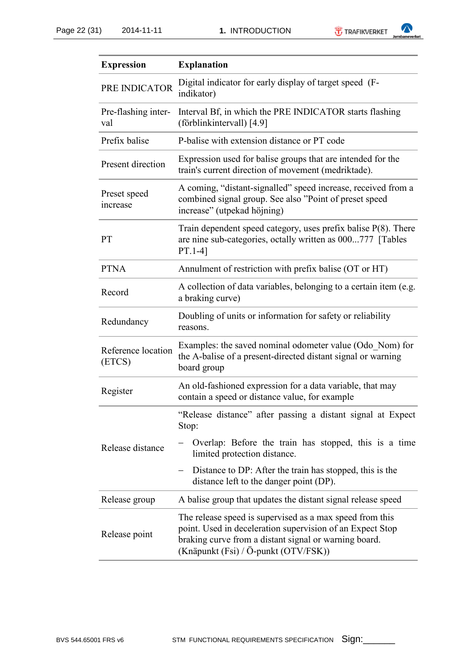| <b>Expression</b>            | <b>Explanation</b>                                                                                                                                                                                                     |
|------------------------------|------------------------------------------------------------------------------------------------------------------------------------------------------------------------------------------------------------------------|
| PRE INDICATOR                | Digital indicator for early display of target speed (F-<br>indikator)                                                                                                                                                  |
| Pre-flashing inter-<br>val   | Interval Bf, in which the PRE INDICATOR starts flashing<br>(förblinkintervall) [4.9]                                                                                                                                   |
| Prefix balise                | P-balise with extension distance or PT code                                                                                                                                                                            |
| Present direction            | Expression used for balise groups that are intended for the<br>train's current direction of movement (medriktade).                                                                                                     |
| Preset speed<br>increase     | A coming, "distant-signalled" speed increase, received from a<br>combined signal group. See also "Point of preset speed<br>increase" (utpekad höjning)                                                                 |
| <b>PT</b>                    | Train dependent speed category, uses prefix balise $P(8)$ . There<br>are nine sub-categories, octally written as 000777 [Tables]<br>$PT.1-4]$                                                                          |
| <b>PTNA</b>                  | Annulment of restriction with prefix balise (OT or HT)                                                                                                                                                                 |
| Record                       | A collection of data variables, belonging to a certain item (e.g.<br>a braking curve)                                                                                                                                  |
| Redundancy                   | Doubling of units or information for safety or reliability<br>reasons.                                                                                                                                                 |
| Reference location<br>(ETCS) | Examples: the saved nominal odometer value (Odo Nom) for<br>the A-balise of a present-directed distant signal or warning<br>board group                                                                                |
| Register                     | An old-fashioned expression for a data variable, that may<br>contain a speed or distance value, for example                                                                                                            |
|                              | "Release distance" after passing a distant signal at Expect<br>Stop:                                                                                                                                                   |
| Release distance             | Overlap: Before the train has stopped, this is a time<br>limited protection distance.                                                                                                                                  |
|                              | Distance to DP: After the train has stopped, this is the<br>distance left to the danger point (DP).                                                                                                                    |
| Release group                | A balise group that updates the distant signal release speed                                                                                                                                                           |
| Release point                | The release speed is supervised as a max speed from this<br>point. Used in deceleration supervision of an Expect Stop<br>braking curve from a distant signal or warning board.<br>(Knäpunkt (Fsi) / Ö-punkt (OTV/FSK)) |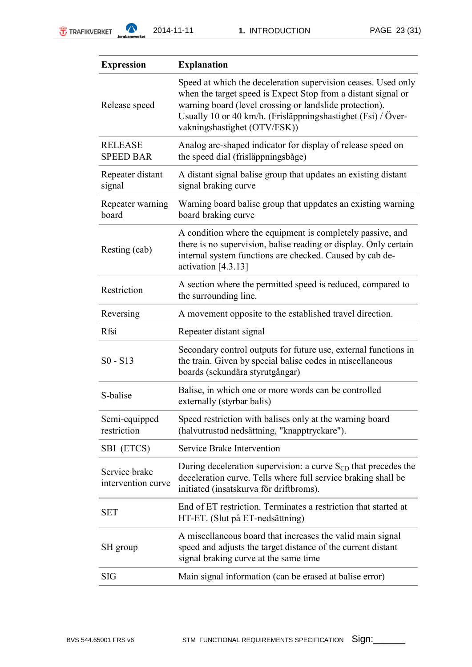$\bigwedge$ 

| <b>Expression</b>                   | <b>Explanation</b>                                                                                                                                                                                                                                                                        |
|-------------------------------------|-------------------------------------------------------------------------------------------------------------------------------------------------------------------------------------------------------------------------------------------------------------------------------------------|
| Release speed                       | Speed at which the deceleration supervision ceases. Used only<br>when the target speed is Expect Stop from a distant signal or<br>warning board (level crossing or landslide protection).<br>Usually 10 or 40 km/h. (Frisläppningshastighet (Fsi) / Över-<br>vakningshastighet (OTV/FSK)) |
| <b>RELEASE</b><br><b>SPEED BAR</b>  | Analog arc-shaped indicator for display of release speed on<br>the speed dial (frisläppningsbåge)                                                                                                                                                                                         |
| Repeater distant<br>signal          | A distant signal balise group that updates an existing distant<br>signal braking curve                                                                                                                                                                                                    |
| Repeater warning<br>board           | Warning board balise group that uppdates an existing warning<br>board braking curve                                                                                                                                                                                                       |
| Resting (cab)                       | A condition where the equipment is completely passive, and<br>there is no supervision, balise reading or display. Only certain<br>internal system functions are checked. Caused by cab de-<br>activation [4.3.13]                                                                         |
| Restriction                         | A section where the permitted speed is reduced, compared to<br>the surrounding line.                                                                                                                                                                                                      |
| Reversing                           | A movement opposite to the established travel direction.                                                                                                                                                                                                                                  |
| Rfsi                                | Repeater distant signal                                                                                                                                                                                                                                                                   |
| $S_0 - S_1$                         | Secondary control outputs for future use, external functions in<br>the train. Given by special balise codes in miscellaneous<br>boards (sekundära styrutgångar)                                                                                                                           |
| S-balise                            | Balise, in which one or more words can be controlled<br>externally (styrbar balis)                                                                                                                                                                                                        |
| Semi-equipped<br>restriction        | Speed restriction with balises only at the warning board<br>(halvutrustad nedsättning, "knapptryckare").                                                                                                                                                                                  |
| SBI (ETCS)                          | Service Brake Intervention                                                                                                                                                                                                                                                                |
| Service brake<br>intervention curve | During deceleration supervision: a curve $SCD$ that precedes the<br>deceleration curve. Tells where full service braking shall be<br>initiated (insatskurva för driftbroms).                                                                                                              |
| <b>SET</b>                          | End of ET restriction. Terminates a restriction that started at<br>HT-ET. (Slut på ET-nedsättning)                                                                                                                                                                                        |
| SH group                            | A miscellaneous board that increases the valid main signal<br>speed and adjusts the target distance of the current distant<br>signal braking curve at the same time                                                                                                                       |
| <b>SIG</b>                          | Main signal information (can be erased at balise error)                                                                                                                                                                                                                                   |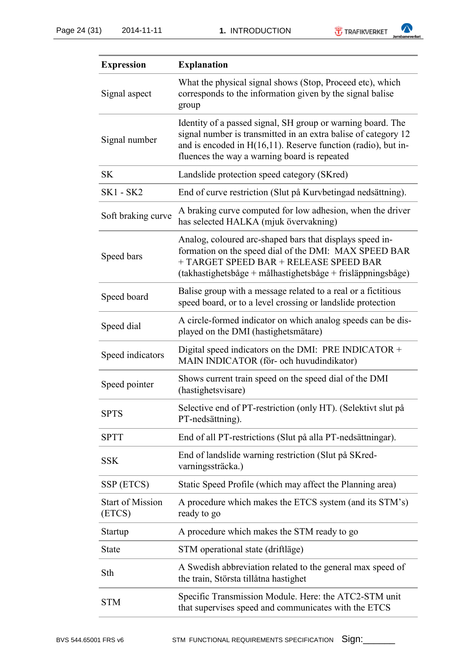**TRAFIKVEI** 

| ERKET |                       |  |
|-------|-----------------------|--|
|       | <b>Jernhaneverket</b> |  |

| <b>Expression</b>                 | <b>Explanation</b>                                                                                                                                                                                                                                |
|-----------------------------------|---------------------------------------------------------------------------------------------------------------------------------------------------------------------------------------------------------------------------------------------------|
| Signal aspect                     | What the physical signal shows (Stop, Proceed etc), which<br>corresponds to the information given by the signal balise<br>group                                                                                                                   |
| Signal number                     | Identity of a passed signal, SH group or warning board. The<br>signal number is transmitted in an extra balise of category 12<br>and is encoded in $H(16,11)$ . Reserve function (radio), but in-<br>fluences the way a warning board is repeated |
| <b>SK</b>                         | Landslide protection speed category (SKred)                                                                                                                                                                                                       |
| <b>SK1 - SK2</b>                  | End of curve restriction (Slut på Kurvbetingad nedsättning).                                                                                                                                                                                      |
| Soft braking curve                | A braking curve computed for low adhesion, when the driver<br>has selected HALKA (mjuk övervakning)                                                                                                                                               |
| Speed bars                        | Analog, coloured arc-shaped bars that displays speed in-<br>formation on the speed dial of the DMI: MAX SPEED BAR<br>+ TARGET SPEED BAR + RELEASE SPEED BAR<br>(takhastighetsbåge + målhastighetsbåge + frisläppningsbåge)                        |
| Speed board                       | Balise group with a message related to a real or a fictitious<br>speed board, or to a level crossing or landslide protection                                                                                                                      |
| Speed dial                        | A circle-formed indicator on which analog speeds can be dis-<br>played on the DMI (hastighetsmätare)                                                                                                                                              |
| Speed indicators                  | Digital speed indicators on the DMI: PRE INDICATOR $+$<br>MAIN INDICATOR (för- och huvudindikator)                                                                                                                                                |
| Speed pointer                     | Shows current train speed on the speed dial of the DMI<br>(hastighetsvisare)                                                                                                                                                                      |
| <b>SPTS</b>                       | Selective end of PT-restriction (only HT). (Selektivt slut på<br>PT-nedsättning).                                                                                                                                                                 |
| <b>SPTT</b>                       | End of all PT-restrictions (Slut på alla PT-nedsättningar).                                                                                                                                                                                       |
| <b>SSK</b>                        | End of landslide warning restriction (Slut på SKred-<br>varningssträcka.)                                                                                                                                                                         |
| SSP (ETCS)                        | Static Speed Profile (which may affect the Planning area)                                                                                                                                                                                         |
| <b>Start of Mission</b><br>(ETCS) | A procedure which makes the ETCS system (and its STM's)<br>ready to go                                                                                                                                                                            |
| Startup                           | A procedure which makes the STM ready to go                                                                                                                                                                                                       |
| <b>State</b>                      | STM operational state (driftläge)                                                                                                                                                                                                                 |
| Sth                               | A Swedish abbreviation related to the general max speed of<br>the train, Största tillåtna hastighet                                                                                                                                               |
| <b>STM</b>                        | Specific Transmission Module. Here: the ATC2-STM unit<br>that supervises speed and communicates with the ETCS                                                                                                                                     |
|                                   |                                                                                                                                                                                                                                                   |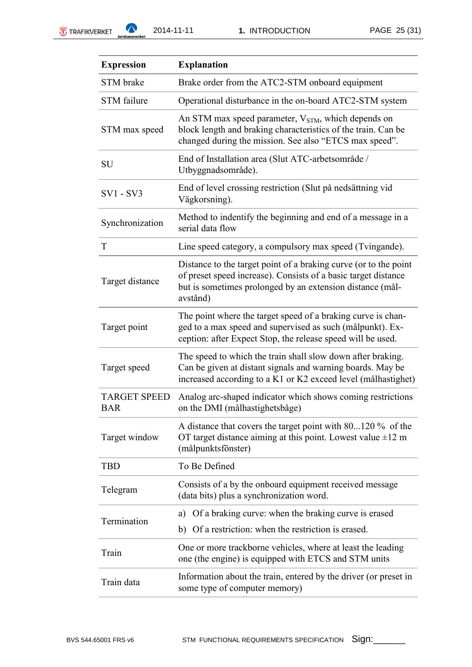$\sqrt{}$ **ernbanever** 

| <b>Expression</b>                 | <b>Explanation</b>                                                                                                                                                                                          |
|-----------------------------------|-------------------------------------------------------------------------------------------------------------------------------------------------------------------------------------------------------------|
| STM brake                         | Brake order from the ATC2-STM onboard equipment                                                                                                                                                             |
| STM failure                       | Operational disturbance in the on-board ATC2-STM system                                                                                                                                                     |
| STM max speed                     | An STM max speed parameter, $V_{STM}$ , which depends on<br>block length and braking characteristics of the train. Can be<br>changed during the mission. See also "ETCS max speed".                         |
| <b>SU</b>                         | End of Installation area (Slut ATC-arbetsområde /<br>Utbyggnadsområde).                                                                                                                                     |
| SV1 - SV3                         | End of level crossing restriction (Slut på nedsättning vid<br>Vägkorsning).                                                                                                                                 |
| Synchronization                   | Method to indentify the beginning and end of a message in a<br>serial data flow                                                                                                                             |
| T                                 | Line speed category, a compulsory max speed (Tvingande).                                                                                                                                                    |
| Target distance                   | Distance to the target point of a braking curve (or to the point<br>of preset speed increase). Consists of a basic target distance<br>but is sometimes prolonged by an extension distance (mål-<br>avstånd) |
| Target point                      | The point where the target speed of a braking curve is chan-<br>ged to a max speed and supervised as such (målpunkt). Ex-<br>ception: after Expect Stop, the release speed will be used.                    |
| Target speed                      | The speed to which the train shall slow down after braking.<br>Can be given at distant signals and warning boards. May be<br>increased according to a K1 or K2 exceed level (målhastighet)                  |
| <b>TARGET SPEED</b><br><b>BAR</b> | Analog arc-shaped indicator which shows coming restrictions<br>on the DMI (målhastighetsbåge)                                                                                                               |
| Target window                     | A distance that covers the target point with 80120 % of the<br>OT target distance aiming at this point. Lowest value $\pm 12$ m<br>(målpunktsfönster)                                                       |
| <b>TBD</b>                        | To Be Defined                                                                                                                                                                                               |
| Telegram                          | Consists of a by the onboard equipment received message<br>(data bits) plus a synchronization word.                                                                                                         |
| Termination                       | Of a braking curve: when the braking curve is erased<br>a)                                                                                                                                                  |
|                                   | b) Of a restriction: when the restriction is erased.                                                                                                                                                        |
| Train                             | One or more trackborne vehicles, where at least the leading<br>one (the engine) is equipped with ETCS and STM units                                                                                         |
| Train data                        | Information about the train, entered by the driver (or preset in<br>some type of computer memory)                                                                                                           |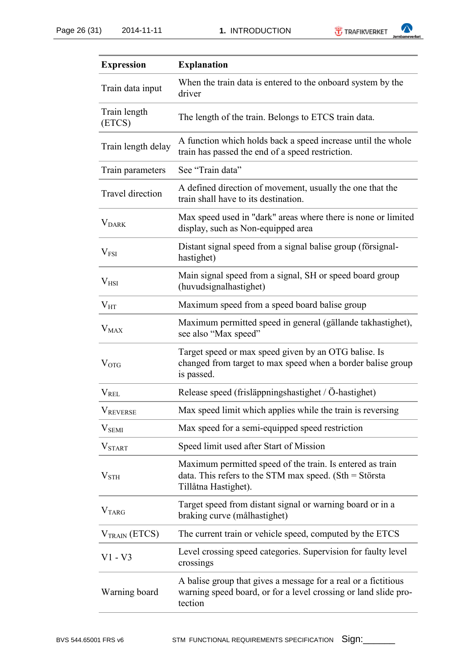| <b>Expression</b>        | <b>Explanation</b>                                                                                                                                                        |
|--------------------------|---------------------------------------------------------------------------------------------------------------------------------------------------------------------------|
| Train data input         | When the train data is entered to the onboard system by the<br>driver                                                                                                     |
| Train length<br>(ETCS)   | The length of the train. Belongs to ETCS train data.                                                                                                                      |
| Train length delay       | A function which holds back a speed increase until the whole<br>train has passed the end of a speed restriction.                                                          |
| Train parameters         | See "Train data"                                                                                                                                                          |
| <b>Travel direction</b>  | A defined direction of movement, usually the one that the<br>train shall have to its destination.                                                                         |
| $\rm V_{DARK}$           | Max speed used in "dark" areas where there is none or limited<br>display, such as Non-equipped area                                                                       |
| V <sub>FSI</sub>         | Distant signal speed from a signal balise group (försignal-<br>hastighet)                                                                                                 |
| $V_{HSI}$                | Main signal speed from a signal, SH or speed board group<br>(huvudsignalhastighet)                                                                                        |
| $\rm V_{HT}$             | Maximum speed from a speed board balise group                                                                                                                             |
| $V_{MAX}$                | Maximum permitted speed in general (gällande takhastighet),<br>see also "Max speed"                                                                                       |
| $\rm V_{OTG}$            | Target speed or max speed given by an OTG balise. Is<br>changed from target to max speed when a border balise group<br>is passed.                                         |
| $\rm V_{REL}$            | Release speed (frisläppningshastighet / Ö-hastighet)                                                                                                                      |
| $\rm V_{REVERSE}$        | Max speed limit which applies while the train is reversing                                                                                                                |
| $\rm{V}_{SEMI}$          | Max speed for a semi-equipped speed restriction                                                                                                                           |
| $\rm{V}_{\rm{STAT}}$     | Speed limit used after Start of Mission                                                                                                                                   |
| $\rm{V}_{\rm{STH}}$      | Maximum permitted speed of the train. Is entered as train<br>data. This refers to the STM max speed. $\left( \text{Sth} = \text{Största} \right)$<br>Tillåtna Hastighet). |
| $\rm V_{TARG}$           | Target speed from distant signal or warning board or in a<br>braking curve (målhastighet)                                                                                 |
| $V_{\text{TRAN}}$ (ETCS) | The current train or vehicle speed, computed by the ETCS                                                                                                                  |
| $V1 - V3$                | Level crossing speed categories. Supervision for faulty level<br>crossings                                                                                                |
| Warning board            | A balise group that gives a message for a real or a fictitious<br>warning speed board, or for a level crossing or land slide pro-<br>tection                              |
|                          |                                                                                                                                                                           |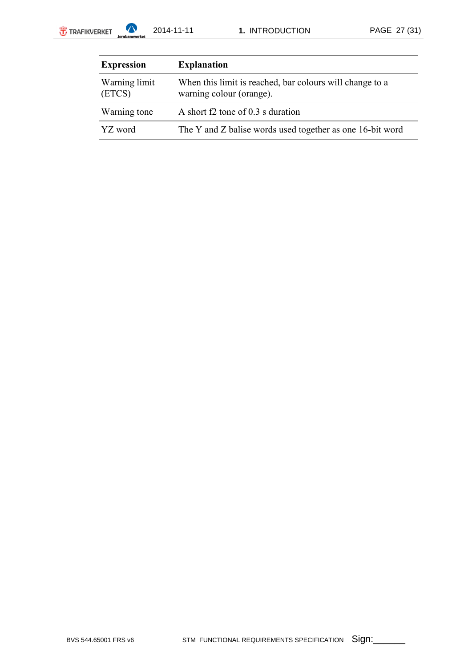$\curvearrowright$ 

| <b>Expression</b>       | <b>Explanation</b>                                                                   |
|-------------------------|--------------------------------------------------------------------------------------|
| Warning limit<br>(ETCS) | When this limit is reached, bar colours will change to a<br>warning colour (orange). |
| Warning tone            | A short $f2$ tone of 0.3 s duration                                                  |
| YZ word                 | The Y and Z balise words used together as one 16-bit word                            |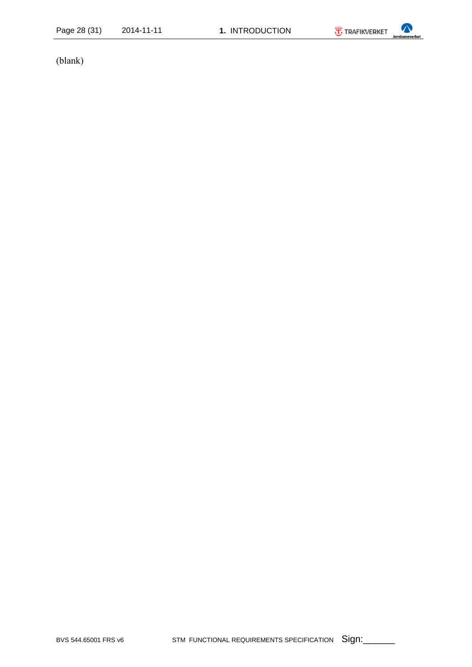V)

(blank)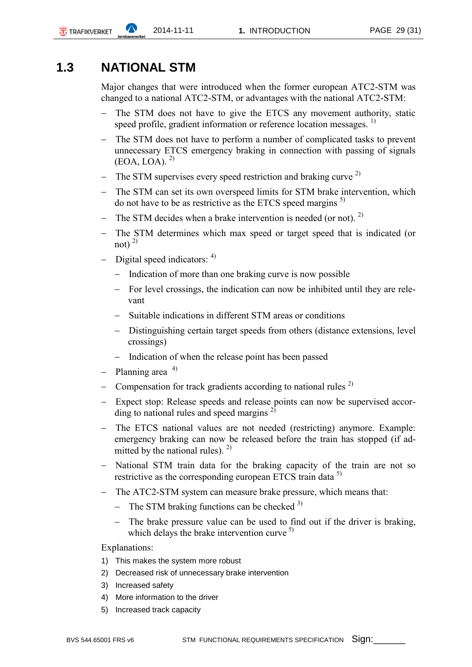# <span id="page-28-0"></span>**1.3 NATIONAL STM**

Major changes that were introduced when the former european ATC2-STM was changed to a national ATC2-STM, or advantages with the national ATC2-STM:

- The STM does not have to give the ETCS any movement authority, static speed profile, gradient information or reference location messages.<sup>1)</sup>
- The STM does not have to perform a number of complicated tasks to prevent unnecessary ETCS emergency braking in connection with passing of signals  $(EOA, LOA)$ .  $^{2}$
- The STM supervises every speed restriction and braking curve  $2^{2}$
- The STM can set its own overspeed limits for STM brake intervention, which do not have to be as restrictive as the ETCS speed margins<sup>5)</sup>
- The STM decides when a brake intervention is needed (or not).  $2^{2}$
- The STM determines which max speed or target speed that is indicated (or not) $^{2)}$
- $-$  Digital speed indicators:  $4$ )
	- Indication of more than one braking curve is now possible
	- For level crossings, the indication can now be inhibited until they are relevant
	- Suitable indications in different STM areas or conditions
	- Distinguishing certain target speeds from others (distance extensions, level crossings)
	- Indication of when the release point has been passed
- $-$  Planning area  $4$ )
- Compensation for track gradients according to national rules  $2$ )
- Expect stop: Release speeds and release points can now be supervised according to national rules and speed margins<sup>2)</sup>
- The ETCS national values are not needed (restricting) anymore. Example: emergency braking can now be released before the train has stopped (if admitted by the national rules).  $^{2)}$
- National STM train data for the braking capacity of the train are not so restrictive as the corresponding european ETCS train data<sup>5)</sup>
- The ATC2-STM system can measure brake pressure, which means that:
	- The STM braking functions can be checked  $3$ )
	- The brake pressure value can be used to find out if the driver is braking, which delays the brake intervention curve  $5$ )

#### Explanations:

- 1) This makes the system more robust
- 2) Decreased risk of unnecessary brake intervention
- 3) Increased safety
- 4) More information to the driver
- 5) Increased track capacity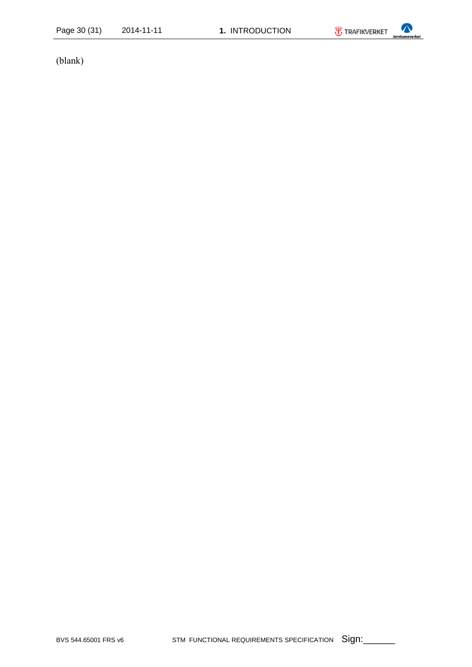V)

(blank)